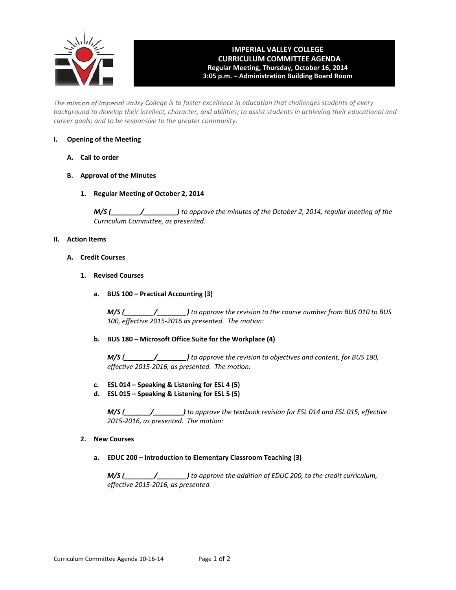

## **IMPERIAL VALLEY COLLEGE CURRICULUM COMMITTEE AGENDA Regular Meeting, Thursday, October 16, 2014 3:05 p.m. – Administration Building Board Room**

The mission of Imperial Valley College is to foster excellence in education that challenges students of every background to develop their intellect, character, and abilities; to assist students in achieving their educational and *career goals; and to be responsive to the greater community.*

## **I. Opening of the Meeting**

- **A. Call to order**
- **B. Approval of the Minutes**
	- **1. Regular Meeting of October 2, 2014**

*M/S (\_\_\_\_\_\_\_\_/\_\_\_\_\_\_\_\_\_) to approve the minutes of the October 2, 2014, regular meeting of the Curriculum Committee, as presented.*

## **II. Action Items**

- **A. Credit Courses**
	- **1. Revised Courses**
		- **a. BUS 100 – Practical Accounting (3)**

*M/S (\_\_\_\_\_\_\_\_/\_\_\_\_\_\_\_\_) to approve the revision to the course number from BUS 010 to BUS 100, effective 2015‐2016 as presented. The motion:*

#### **b. BUS 180 – Microsoft Office Suite for the Workplace (4)**

*M/S (\_\_\_\_\_\_\_\_/\_\_\_\_\_\_\_\_) to approve the revision to objectives and content, for BUS 180, effective 2015‐2016, as presented. The motion:*

- **c. ESL 014 – Speaking & Listening for ESL 4 (5)**
- **d. ESL 015 – Speaking & Listening for ESL 5 (5)**

*M/S (\_\_\_\_\_\_\_/\_\_\_\_\_\_\_\_) to approve the textbook revision for ESL 014 and ESL 015, effective 2015‐2016, as presented. The motion:*

- **2. New Courses**
	- **a. EDUC 200 – Introduction to Elementary Classroom Teaching (3)**

*M/S (\_\_\_\_\_\_\_\_/\_\_\_\_\_\_\_\_) to approve the addition of EDUC 200, to the credit curriculum, effective 2015‐2016, as presented.*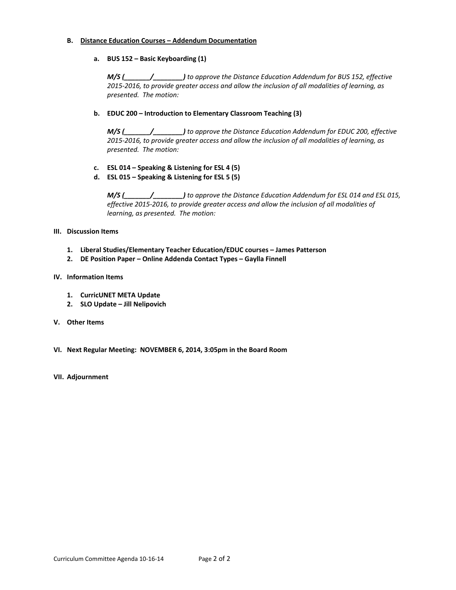#### **B. Distance Education Courses – Addendum Documentation**

## **a. BUS 152 – Basic Keyboarding (1)**

*M/S (\_\_\_\_\_\_\_/\_\_\_\_\_\_\_\_) to approve the Distance Education Addendum for BUS 152, effective 2015‐2016, to provide greater access and allow the inclusion of all modalities of learning, as presented. The motion:*

## **b. EDUC 200 – Introduction to Elementary Classroom Teaching (3)**

*M/S (\_\_\_\_\_\_\_/\_\_\_\_\_\_\_\_) to approve the Distance Education Addendum for EDUC 200, effective 2015‐2016, to provide greater access and allow the inclusion of all modalities of learning, as presented. The motion:*

- **c. ESL 014 – Speaking & Listening for ESL 4 (5)**
- **d. ESL 015 – Speaking & Listening for ESL 5 (5)**

*M/S (\_\_\_\_\_\_\_/\_\_\_\_\_\_\_\_) to approve the Distance Education Addendum for ESL 014 and ESL 015, effective 2015‐2016, to provide greater access and allow the inclusion of all modalities of learning, as presented. The motion:*

## **III. Discussion Items**

- **1. Liberal Studies/Elementary Teacher Education/EDUC courses – James Patterson**
- **2. DE Position Paper – Online Addenda Contact Types – Gaylla Finnell**

## **IV. Information Items**

- **1. CurricUNET META Update**
- **2. SLO Update – Jill Nelipovich**
- **V. Other Items**
- **VI. Next Regular Meeting: NOVEMBER 6, 2014, 3:05pm in the Board Room**
- **VII. Adjournment**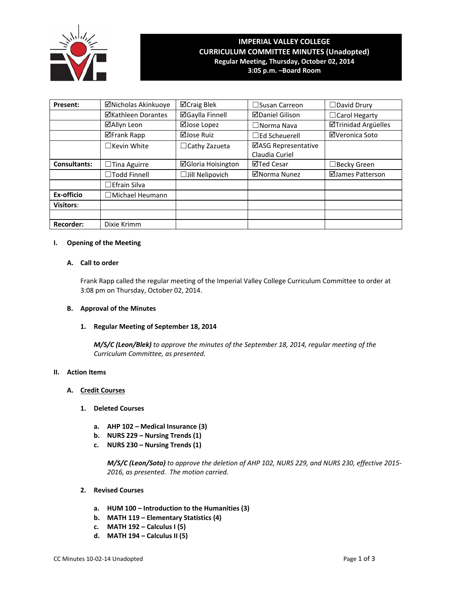

# **IMPERIAL VALLEY COLLEGE CURRICULUM COMMITTEE MINUTES (Unadopted) Regular Meeting, Thursday, October 02, 2014**

**3:05 p.m. –Board Room**

| Present:                                 | ⊠Nicholas Akinkuoye       | ⊠Craig Blek               | □Susan Carreon         | $\Box$ David Drury   |  |
|------------------------------------------|---------------------------|---------------------------|------------------------|----------------------|--|
|                                          | <b>⊠Kathleen Dorantes</b> | <b>⊠Gaylla Finnell</b>    | <b>ØDaniel Gilison</b> | $\Box$ Carol Hegarty |  |
|                                          | ⊠Allyn Leon               | ⊠Jose Lopez               | $\Box$ Norma Nava      | ⊠Trinidad Argüelles  |  |
|                                          | ⊠Frank Rapp               | ⊠Jose Ruiz                | $\Box$ Ed Scheuerell   | ⊠Veronica Soto       |  |
|                                          | $\Box$ Kevin White        | $\Box$ Cathy Zazueta      | ⊠ASG Representative    |                      |  |
|                                          |                           |                           | Claudia Curiel         |                      |  |
| <b>Consultants:</b><br>Tina Aguirre<br>⊔ |                           | <b>⊠Gloria Hoisington</b> | ⊠Ted Cesar             | ∃Becky Green         |  |
|                                          | $\Box$ Todd Finnell       | $\Box$ Jill Nelipovich    | ⊠Norma Nunez           | ⊠James Patterson     |  |
|                                          | $\Box$ Efrain Silva       |                           |                        |                      |  |
| Ex-officio                               | $\Box$ Michael Heumann    |                           |                        |                      |  |
| <b>Visitors:</b>                         |                           |                           |                        |                      |  |
|                                          |                           |                           |                        |                      |  |
| <b>Recorder:</b>                         | Dixie Krimm               |                           |                        |                      |  |

## **I. Opening of the Meeting**

## **A. Call to order**

Frank Rapp called the regular meeting of the Imperial Valley College Curriculum Committee to order at 3:08 pm on Thursday, October 02, 2014.

## **B. Approval of the Minutes**

#### **1. Regular Meeting of September 18, 2014**

*M/S/C (Leon/Blek) to approve the minutes of the September 18, 2014, regular meeting of the Curriculum Committee, as presented.* 

#### **II. Action Items**

#### **A. Credit Courses**

## **1. Deleted Courses**

- **a. AHP 102 – Medical Insurance (3)**
- **b. NURS 229 – Nursing Trends (1)**
- **c. NURS 230 – Nursing Trends (1)**

*M/S/C (Leon/Soto) to approve the deletion of AHP 102, NURS 229, and NURS 230, effective 2015‐ 2016, as presented. The motion carried.*

- **2. Revised Courses**
	- **a. HUM 100 – Introduction to the Humanities (3)**
	- **b. MATH 119 – Elementary Statistics (4)**
	- **c. MATH 192 – Calculus I (5)**
	- **d. MATH 194 – Calculus II (5)**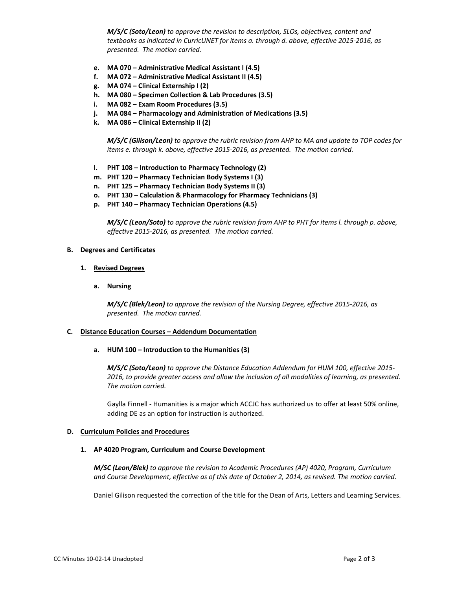*M/S/C (Soto/Leon) to approve the revision to description, SLOs, objectives, content and textbooks as indicated in CurricUNET for items a. through d. above, effective 2015‐2016, as presented. The motion carried.*

- **e. MA 070 – Administrative Medical Assistant I (4.5)**
- **f. MA 072 – Administrative Medical Assistant II (4.5)**
- **g. MA 074 – Clinical Externship I (2)**
- **h. MA 080 – Specimen Collection & Lab Procedures (3.5)**
- **i. MA 082 – Exam Room Procedures (3.5)**
- **j. MA 084 – Pharmacology and Administration of Medications (3.5)**
- **k. MA 086 – Clinical Externship II (2)**

*M/S/C (Gilison/Leon) to approve the rubric revision from AHP to MA and update to TOP codes for items e. through k. above, effective 2015‐2016, as presented. The motion carried.*

- **l. PHT 108 – Introduction to Pharmacy Technology (2)**
- **m. PHT 120 – Pharmacy Technician Body Systems I (3)**
- **n. PHT 125 – Pharmacy Technician Body Systems II (3)**
- **o. PHT 130 – Calculation & Pharmacology for Pharmacy Technicians (3)**
- **p. PHT 140 – Pharmacy Technician Operations (4.5)**

*M/S/C (Leon/Soto) to approve the rubric revision from AHP to PHT for items l. through p. above, effective 2015‐2016, as presented. The motion carried.*

#### **B. Degrees and Certificates**

- **1. Revised Degrees**
	- **a. Nursing**

*M/S/C (Blek/Leon) to approve the revision of the Nursing Degree, effective 2015‐2016, as presented. The motion carried.*

#### **C. Distance Education Courses – Addendum Documentation**

 **a. HUM 100 – Introduction to the Humanities (3)**

*M/S/C (Soto/Leon) to approve the Distance Education Addendum for HUM 100, effective 2015‐ 2016, to provide greater access and allow the inclusion of all modalities of learning, as presented. The motion carried.*

Gaylla Finnell ‐ Humanities is a major which ACCJC has authorized us to offer at least 50% online, adding DE as an option for instruction is authorized.

#### **D. Curriculum Policies and Procedures**

#### **1. AP 4020 Program, Curriculum and Course Development**

*M/SC (Leon/Blek) to approve the revision to Academic Procedures (AP) 4020, Program, Curriculum and Course Development, effective as of this date of October 2, 2014, as revised. The motion carried.*

Daniel Gilison requested the correction of the title for the Dean of Arts, Letters and Learning Services.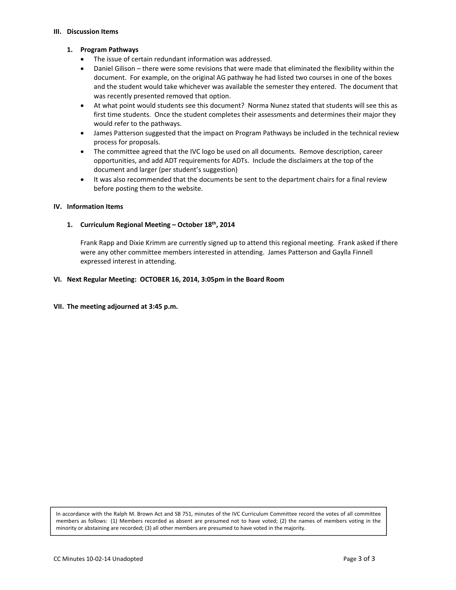#### **III. Discussion Items**

## **1. Program Pathways**

- The issue of certain redundant information was addressed.
- Daniel Gilison there were some revisions that were made that eliminated the flexibility within the document. For example, on the original AG pathway he had listed two courses in one of the boxes and the student would take whichever was available the semester they entered. The document that was recently presented removed that option.
- At what point would students see this document? Norma Nunez stated that students will see this as first time students. Once the student completes their assessments and determines their major they would refer to the pathways.
- James Patterson suggested that the impact on Program Pathways be included in the technical review process for proposals.
- The committee agreed that the IVC logo be used on all documents. Remove description, career opportunities, and add ADT requirements for ADTs. Include the disclaimers at the top of the document and larger (per student's suggestion)
- It was also recommended that the documents be sent to the department chairs for a final review before posting them to the website.

## **IV. Information Items**

## **1. Curriculum Regional Meeting – October 18th, 2014**

Frank Rapp and Dixie Krimm are currently signed up to attend this regional meeting. Frank asked if there were any other committee members interested in attending. James Patterson and Gaylla Finnell expressed interest in attending.

## **VI. Next Regular Meeting: OCTOBER 16, 2014, 3:05pm in the Board Room**

## **VII. The meeting adjourned at 3:45 p.m.**

In accordance with the Ralph M. Brown Act and SB 751, minutes of the IVC Curriculum Committee record the votes of all committee members as follows: (1) Members recorded as absent are presumed not to have voted; (2) the names of members voting in the minority or abstaining are recorded; (3) all other members are presumed to have voted in the majority.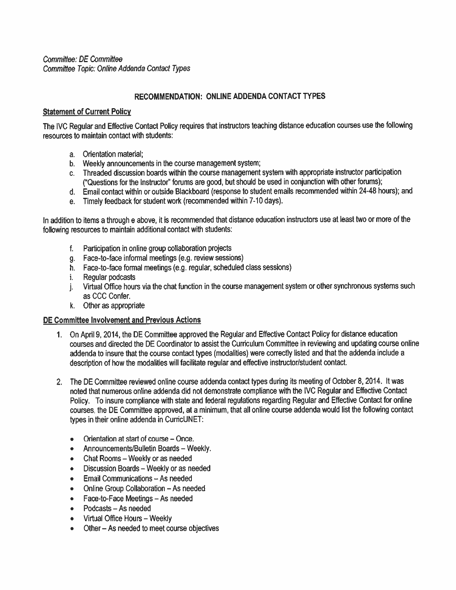Committee: DE Committee Committee Topic: Online Addenda Contact Types

# RECOMMENDATION: ONLINE ADDENDA CONTACT TYPES

## **Statement of Current Policy**

The IVC Regular and Effective Contact Policy requires that instructors teaching distance education courses use the following resources to maintain contact with students:

- a. Orientation material:
- b. Weekly announcements in the course management system;
- c. Threaded discussion boards within the course management system with appropriate instructor participation ("Questions for the Instructor" forums are good, but should be used in conjunction with other forums);
- d. Email contact within or outside Blackboard (response to student emails recommended within 24-48 hours); and
- e. Timely feedback for student work (recommended within 7-10 days).

In addition to items a through e above, it is recommended that distance education instructors use at least two or more of the following resources to maintain additional contact with students:

- f. Participation in online group collaboration projects
- g. Face-to-face informal meetings (e.g. review sessions)
- h. Face-to-face formal meetings (e.g. regular, scheduled class sessions)
- i. Regular podcasts
- j. Virtual Office hours via the chat function in the course management system or other synchronous systems such as CCC Confer.
- k. Other as appropriate

## DE Committee Involvement and Previous Actions

- 1. On April 9, 2014, the DE Committee approved the Regular and Effective Contact Policy for distance education courses and directed the DE Coordinator to assist the Curriculum Committee in reviewing and updating course online addenda to insure that the course contact types (modalities) were correctly listed and that the addenda include a description of how the modalities will facilitate regular and effective instructor/student contact.
- 2. The DE Committee reviewed online course addenda contact types during its meeting of October 8, 2014. It was noted that numerous online addenda did not demonstrate compliance with the IVC Regular and Effective Contact Policy. To insure compliance with state and federal regulations regarding Regular and Effective Contact for online courses, the DE Committee approved, at a minimum, that all online course addenda would list the following contact types in their online addenda in CurricUNET:
	- Orientation at start of course Once.  $\bullet$
	- Announcements/Bulletin Boards Weekly.  $\bullet$
	- Chat Rooms Weekly or as needed  $\bullet$
	- Discussion Boards Weekly or as needed  $\bullet$
	- Email Communications As needed  $\bullet$
	- Online Group Collaboration As needed  $\bullet$
	- Face-to-Face Meetings As needed  $\bullet$
	- Podcasts As needed  $\bullet$
	- Virtual Office Hours Weekly  $\bullet$
	- Other As needed to meet course objectives  $\bullet$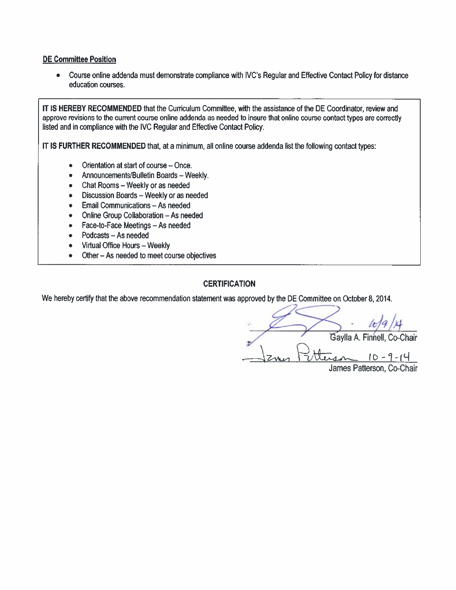## **DE Committee Position**

• Course online addenda must demonstrate compliance with IVC's Regular and Effective Contact Policy for distance education courses.

IT IS HEREBY RECOMMENDED that the Curriculum Committee, with the assistance of the DE Coordinator, review and approve revisions to the current course online addenda as needed to insure that online course contact types are correctly listed and in compliance with the IVC Regular and Effective Contact Policy.

IT IS FURTHER RECOMMENDED that, at a minimum, all online course addenda list the following contact types:

- Orientation at start of course Once.  $\bullet$
- Announcements/Bulletin Boards Weekly.  $\bullet$
- Chat Rooms Weekly or as needed
- Discussion Boards Weekly or as needed
- Email Communications As needed  $\bullet$
- Online Group Collaboration As needed  $\bullet$
- Face-to-Face Meetings As needed  $\bullet$
- Podcasts As needed  $\bullet$
- Virtual Office Hours Weekly  $\bullet$
- Other As needed to meet course objectives  $\bullet$

# **CERTIFICATION**

We hereby certify that the above recommendation statement was approved by the DE Committee on October 8, 2014.

Gaylla A. Finnell, Co-Chair  $10 - 9 - 14$ James Patterson, Co-Chair